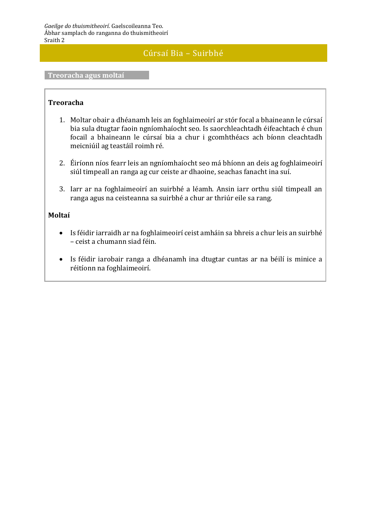## Cúrsaí Bia – Suirbhé

#### **Treoracha agus moltaí**

### **Treoracha**

- 1. Moltar obair a dhéanamh leis an foghlaimeoirí ar stór focal a bhaineann le cúrsaí bia sula dtugtar faoin ngníomhaíocht seo. Is saorchleachtadh éifeachtach é chun focail a bhaineann le cúrsaí bia a chur i gcomhthéacs ach bíonn cleachtadh meicniúil ag teastáil roimh ré.
- 2. Éiríonn níos fearr leis an ngníomhaíocht seo má bhíonn an deis ag foghlaimeoirí siúl timpeall an ranga ag cur ceiste ar dhaoine, seachas fanacht ina suí.
- 3. Iarr ar na foghlaimeoirí an suirbhé a léamh. Ansin iarr orthu siúl timpeall an ranga agus na ceisteanna sa suirbhé a chur ar thriúr eile sa rang.

### **Moltaí**

- Is féidir iarraidh ar na foghlaimeoirí ceist amháin sa bhreis a chur leis an suirbhé – ceist a chumann siad féin.
- Is féidir iarobair ranga a dhéanamh ina dtugtar cuntas ar na béilí is minice a réitíonn na foghlaimeoirí.